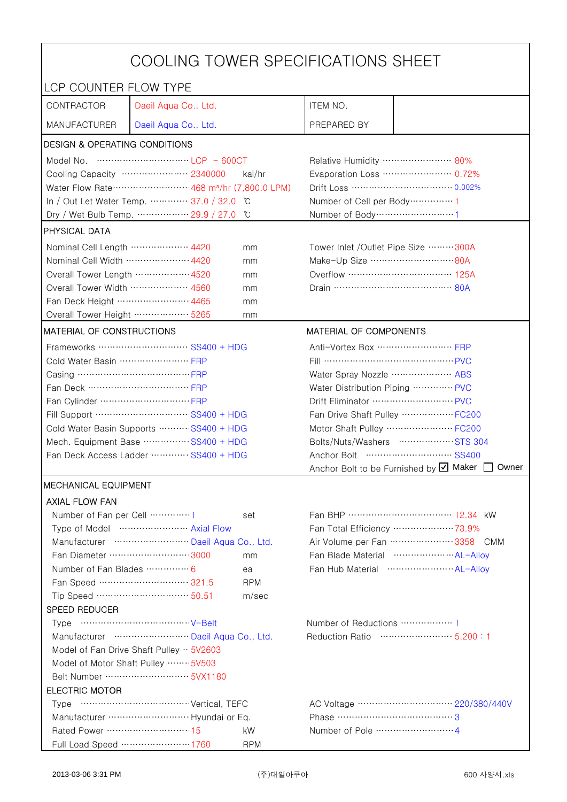| COOLING TOWER SPECIFICATIONS SHEET                                              |                                                                                                                                                                                                                                                                                                                                      |            |                                                 |                                                    |  |
|---------------------------------------------------------------------------------|--------------------------------------------------------------------------------------------------------------------------------------------------------------------------------------------------------------------------------------------------------------------------------------------------------------------------------------|------------|-------------------------------------------------|----------------------------------------------------|--|
| LCP COUNTER FLOW TYPE                                                           |                                                                                                                                                                                                                                                                                                                                      |            |                                                 |                                                    |  |
| CONTRACTOR                                                                      | Daeil Aqua Co., Ltd.                                                                                                                                                                                                                                                                                                                 |            | ITEM NO.                                        |                                                    |  |
| <b>MANUFACTURER</b>                                                             | Daeil Aqua Co., Ltd.                                                                                                                                                                                                                                                                                                                 |            | PREPARED BY                                     |                                                    |  |
| <b>DESIGN &amp; OPERATING CONDITIONS</b>                                        |                                                                                                                                                                                                                                                                                                                                      |            |                                                 |                                                    |  |
|                                                                                 | Model No. $\cdots$ $\cdots$ $\cdots$ $\cdots$ $\cdots$ $\cdots$ $\cdots$ $\cdots$ $\cdots$ $\cdots$ $\cdots$ $\vdots$ $\vdots$ $\vdots$ $\vdots$ $\vdots$ $\vdots$ $\vdots$ $\vdots$ $\vdots$ $\vdots$ $\vdots$ $\vdots$ $\vdots$ $\vdots$ $\vdots$ $\vdots$ $\vdots$ $\vdots$ $\vdots$ $\vdots$ $\vdots$ $\vdots$ $\vdots$ $\vdots$ |            | Relative Humidity …………………… 80%                  |                                                    |  |
| Cooling Capacity ………………… 2340000<br>kal/hr                                      |                                                                                                                                                                                                                                                                                                                                      |            | Evaporation Loss ………………… 0.72%                  |                                                    |  |
| Water Flow Rate ·························· 468 m <sup>3</sup> /hr (7,800.0 LPM) |                                                                                                                                                                                                                                                                                                                                      |            |                                                 | Drift Loss …………………………… 0.002%                      |  |
|                                                                                 | In / Out Let Water Temp.  37.0 / 32.0                                                                                                                                                                                                                                                                                                | ĬС         | Number of Cell per Body ··············· 1       |                                                    |  |
|                                                                                 | Dry / Wet Bulb Temp.  29.9 / 27.0                                                                                                                                                                                                                                                                                                    | °C         | Number of Body ·······························1 |                                                    |  |
| PHYSICAL DATA                                                                   |                                                                                                                                                                                                                                                                                                                                      |            |                                                 |                                                    |  |
| Nominal Cell Length ……………… 4420                                                 |                                                                                                                                                                                                                                                                                                                                      | mm         | Tower Inlet /Outlet Pipe Size  300A             |                                                    |  |
| Nominal Cell Width  4420                                                        |                                                                                                                                                                                                                                                                                                                                      | mm         | Make-Up Size ………………………… 80A                     |                                                    |  |
| Overall Tower Length ……………… 4520                                                |                                                                                                                                                                                                                                                                                                                                      | mm         | Overflow …………………………… 125A                       |                                                    |  |
| Overall Tower Width ……………… 4560                                                 |                                                                                                                                                                                                                                                                                                                                      | mm         |                                                 |                                                    |  |
| Fan Deck Height …………………… 4465                                                   |                                                                                                                                                                                                                                                                                                                                      | mm         |                                                 |                                                    |  |
| Overall Tower Height  5265                                                      |                                                                                                                                                                                                                                                                                                                                      | mm         |                                                 |                                                    |  |
| MATERIAL OF CONSTRUCTIONS                                                       |                                                                                                                                                                                                                                                                                                                                      |            | MATERIAL OF COMPONENTS                          |                                                    |  |
|                                                                                 |                                                                                                                                                                                                                                                                                                                                      |            | Anti-Vortex Box  FRP                            |                                                    |  |
| Cold Water Basin  FRP                                                           |                                                                                                                                                                                                                                                                                                                                      |            | Fill …………………………………… PVC                         |                                                    |  |
|                                                                                 |                                                                                                                                                                                                                                                                                                                                      |            | Water Spray Nozzle ………………… ABS                  |                                                    |  |
|                                                                                 |                                                                                                                                                                                                                                                                                                                                      |            | Water Distribution Piping  PVC                  |                                                    |  |
|                                                                                 |                                                                                                                                                                                                                                                                                                                                      |            | Drift Eliminator  PVC                           |                                                    |  |
| Fill Support ………………………… SS400 + HDG                                             |                                                                                                                                                                                                                                                                                                                                      |            | Fan Drive Shaft Pulley ………………FC200              |                                                    |  |
| Cold Water Basin Supports  SS400 + HDG                                          |                                                                                                                                                                                                                                                                                                                                      |            |                                                 | Motor Shaft Pulley  FC200                          |  |
| Mech. Equipment Base SS400 + HDG                                                |                                                                                                                                                                                                                                                                                                                                      |            |                                                 | Bolts/Nuts/Washers  STS 304                        |  |
| Fan Deck Access Ladder ………… SS400 + HDG                                         |                                                                                                                                                                                                                                                                                                                                      |            |                                                 |                                                    |  |
|                                                                                 |                                                                                                                                                                                                                                                                                                                                      |            |                                                 | Anchor Bolt to be Furnished by Ø Maker [<br>Owner  |  |
| <b>MECHANICAL EQUIPMENT</b>                                                     |                                                                                                                                                                                                                                                                                                                                      |            |                                                 |                                                    |  |
| <b>AXIAL FLOW FAN</b>                                                           |                                                                                                                                                                                                                                                                                                                                      |            |                                                 |                                                    |  |
|                                                                                 |                                                                                                                                                                                                                                                                                                                                      | set        |                                                 | Fan BHP ……………………………… 12.34 kW                      |  |
|                                                                                 | Type of Model  Axial Flow                                                                                                                                                                                                                                                                                                            |            |                                                 | Fan Total Efficiency  73.9%                        |  |
|                                                                                 | Manufacturer  Daeil Aqua Co., Ltd.                                                                                                                                                                                                                                                                                                   |            |                                                 | Air Volume per Fan  3358 CMM                       |  |
|                                                                                 | Fan Diameter ……………………… 3000                                                                                                                                                                                                                                                                                                          | mm         |                                                 | Fan Blade Material ······················ AL-Allov |  |
| Number of Fan Blades  6                                                         |                                                                                                                                                                                                                                                                                                                                      | ea         |                                                 | Fan Hub Material  AL-Alloy                         |  |
|                                                                                 | Fan Speed ………………………… 321.5                                                                                                                                                                                                                                                                                                           | <b>RPM</b> |                                                 |                                                    |  |
|                                                                                 | Tip Speed …………………………… 50.51                                                                                                                                                                                                                                                                                                          | m/sec      |                                                 |                                                    |  |
| SPEED REDUCER                                                                   |                                                                                                                                                                                                                                                                                                                                      |            |                                                 |                                                    |  |
|                                                                                 |                                                                                                                                                                                                                                                                                                                                      |            | Number of Reductions  1                         |                                                    |  |
| Reduction Ratio …………………… 5.200:1<br>Manufacturer  Daeil Aqua Co., Ltd.          |                                                                                                                                                                                                                                                                                                                                      |            |                                                 |                                                    |  |
| Model of Fan Drive Shaft Pulley $\cdot \cdot$ 5V2603                            |                                                                                                                                                                                                                                                                                                                                      |            |                                                 |                                                    |  |
| Model of Motor Shaft Pulley  5V503                                              |                                                                                                                                                                                                                                                                                                                                      |            |                                                 |                                                    |  |
|                                                                                 |                                                                                                                                                                                                                                                                                                                                      |            |                                                 |                                                    |  |
| <b>ELECTRIC MOTOR</b>                                                           |                                                                                                                                                                                                                                                                                                                                      |            |                                                 |                                                    |  |
|                                                                                 |                                                                                                                                                                                                                                                                                                                                      |            | Phase …………………………………3                            |                                                    |  |
| Rated Power ……………………… 15                                                        |                                                                                                                                                                                                                                                                                                                                      | kW         |                                                 |                                                    |  |
|                                                                                 | Full Load Speed ………………… 1760                                                                                                                                                                                                                                                                                                         | <b>RPM</b> |                                                 |                                                    |  |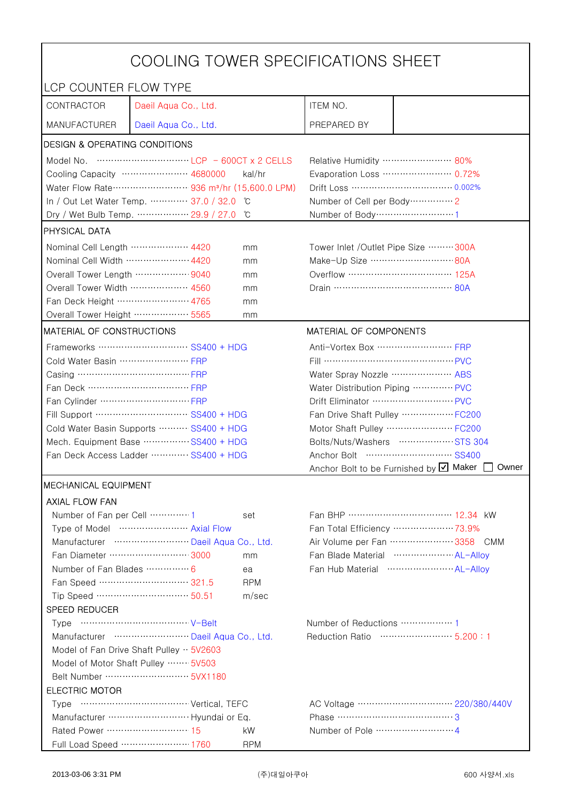| COOLING TOWER SPECIFICATIONS SHEET                                                         |                                    |                                                                               |                                                |                                                 |  |
|--------------------------------------------------------------------------------------------|------------------------------------|-------------------------------------------------------------------------------|------------------------------------------------|-------------------------------------------------|--|
| LCP COUNTER FLOW TYPE                                                                      |                                    |                                                                               |                                                |                                                 |  |
| CONTRACTOR                                                                                 | Daeil Aqua Co., Ltd.               |                                                                               | ITEM NO.                                       |                                                 |  |
| <b>MANUFACTURER</b>                                                                        | Daeil Aqua Co., Ltd.               |                                                                               | PREPARED BY                                    |                                                 |  |
| DESIGN & OPERATING CONDITIONS                                                              |                                    |                                                                               |                                                |                                                 |  |
|                                                                                            |                                    |                                                                               | Relative Humidity …………………… 80%                 |                                                 |  |
|                                                                                            | Cooling Capacity ………………… 4680000   | kal/hr                                                                        |                                                | Evaporation Loss ………………… 0.72%                  |  |
| Water Flow Rate ···························· 936 m <sup>3</sup> /hr (15,600.0 LPM)         |                                    |                                                                               |                                                | Drift Loss …………………………… 0.002%                   |  |
| In / Out Let Water Temp.  37.0 / 32.0<br>°C                                                |                                    |                                                                               | Number of Cell per Body ··············· 2      |                                                 |  |
|                                                                                            | Dry / Wet Bulb Temp.  29.9 / 27.0  | °C                                                                            | Number of Body ······························1 |                                                 |  |
| <b>PHYSICAL DATA</b>                                                                       |                                    |                                                                               |                                                |                                                 |  |
| Nominal Cell Length ……………… 4420<br>mm                                                      |                                    |                                                                               | Tower Inlet / Outlet Pipe Size  300A           |                                                 |  |
| Nominal Cell Width  4420                                                                   |                                    | mm                                                                            | Make-Up Size ……………………… 80A                     |                                                 |  |
| Overall Tower Length  9040                                                                 |                                    | mm                                                                            | Overflow …………………………… 125A                      |                                                 |  |
| Overall Tower Width  4560                                                                  |                                    | mm                                                                            |                                                |                                                 |  |
| Fan Deck Height …………………… 4765                                                              |                                    | mm                                                                            |                                                |                                                 |  |
| Overall Tower Height ……………… 5565                                                           |                                    | mm                                                                            |                                                |                                                 |  |
| <b>MATERIAL OF CONSTRUCTIONS</b>                                                           |                                    |                                                                               | MATERIAL OF COMPONENTS                         |                                                 |  |
|                                                                                            | Frameworks ……………………… SS400 + HDG   |                                                                               | Anti-Vortex Box ……………………… FRP                  |                                                 |  |
| Cold Water Basin  FRP                                                                      |                                    |                                                                               | Fill …………………………………… PVC                        |                                                 |  |
| Casing ………………………………… FRP                                                                   |                                    |                                                                               | Water Spray Nozzle ………………… ABS                 |                                                 |  |
| Fan Deck …………………………… FRP                                                                   |                                    |                                                                               | Water Distribution Piping  PVC                 |                                                 |  |
|                                                                                            |                                    |                                                                               | Drift Eliminator ……………………… PVC                 |                                                 |  |
| Fill Support ………………………… SS400 + HDG                                                        |                                    |                                                                               | Fan Drive Shaft Pulley  FC200                  |                                                 |  |
| Cold Water Basin Supports  SS400 + HDG                                                     |                                    |                                                                               | Motor Shaft Pulley  FC200                      |                                                 |  |
| Mech. Equipment Base SS400 + HDG                                                           |                                    |                                                                               | Bolts/Nuts/Washers  STS 304                    |                                                 |  |
| Fan Deck Access Ladder ………… SS400 + HDG                                                    |                                    |                                                                               |                                                |                                                 |  |
|                                                                                            |                                    |                                                                               |                                                | Anchor Bolt to be Furnished by Ø Maker<br>Owner |  |
| <b>MECHANICAL EQUIPMENT</b>                                                                |                                    |                                                                               |                                                |                                                 |  |
| <b>AXIAL FLOW FAN</b>                                                                      |                                    |                                                                               |                                                |                                                 |  |
| Number of Fan per Cell 1                                                                   |                                    | set                                                                           |                                                | Fan BHP …………………………… 12.34 kW                    |  |
|                                                                                            | Type of Model  Axial Flow          |                                                                               |                                                | Fan Total Efficiency  73.9%                     |  |
|                                                                                            | Manufacturer  Daeil Aqua Co., Ltd. |                                                                               |                                                | Air Volume per Fan  3358 CMM                    |  |
|                                                                                            | Fan Diameter ……………………… 3000        | mm                                                                            |                                                | Fan Blade Material  AL-Allov                    |  |
| Number of Fan Blades  6                                                                    |                                    | ea                                                                            |                                                | Fan Hub Material  AL-Allov                      |  |
|                                                                                            | Fan Speed ………………………… 321.5         | <b>RPM</b>                                                                    |                                                |                                                 |  |
|                                                                                            | Tip Speed ………………………… 50.51         | m/sec                                                                         |                                                |                                                 |  |
| SPEED REDUCER                                                                              |                                    |                                                                               |                                                |                                                 |  |
|                                                                                            |                                    | Number of Reductions ················· 1<br>Reduction Ratio ……………………… 5.200:1 |                                                |                                                 |  |
| Manufacturer  Daeil Aqua Co., Ltd.                                                         |                                    |                                                                               |                                                |                                                 |  |
| Model of Fan Drive Shaft Pulley $\cdot \cdot$ 5V2603<br>Model of Motor Shaft Pulley  5V503 |                                    |                                                                               |                                                |                                                 |  |
|                                                                                            |                                    |                                                                               |                                                |                                                 |  |
| <b>ELECTRIC MOTOR</b>                                                                      |                                    |                                                                               |                                                |                                                 |  |
|                                                                                            |                                    |                                                                               |                                                |                                                 |  |
| Manufacturer  Hyundai or Eq.<br>Phase ……………………………………3                                      |                                    |                                                                               |                                                |                                                 |  |
| Rated Power ………………………… 15                                                                  |                                    | kW                                                                            |                                                |                                                 |  |
|                                                                                            | Full Load Speed ………………… 1760       | <b>RPM</b>                                                                    |                                                |                                                 |  |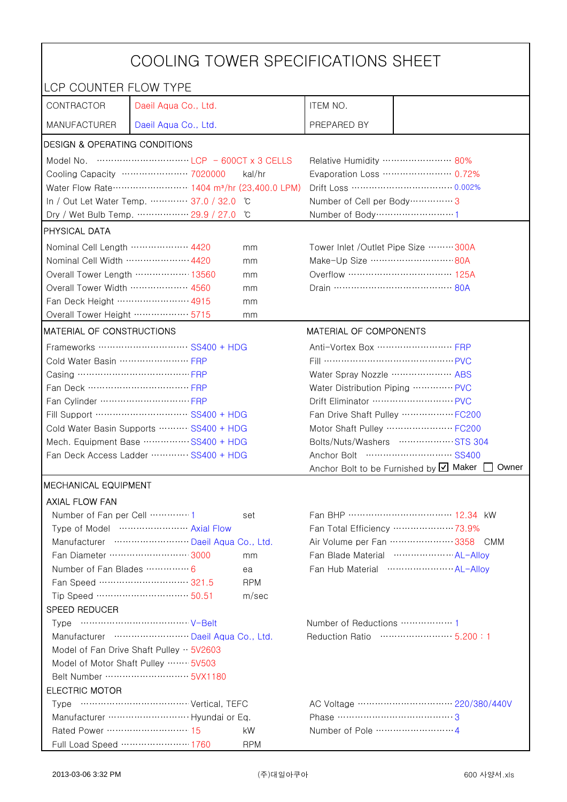| COOLING TOWER SPECIFICATIONS SHEET                                                                                                    |                                    |                                                                               |                                                     |                                                 |  |
|---------------------------------------------------------------------------------------------------------------------------------------|------------------------------------|-------------------------------------------------------------------------------|-----------------------------------------------------|-------------------------------------------------|--|
| LCP COUNTER FLOW TYPE                                                                                                                 |                                    |                                                                               |                                                     |                                                 |  |
| CONTRACTOR                                                                                                                            | Daeil Aqua Co., Ltd.               |                                                                               | ITEM NO.                                            |                                                 |  |
| <b>MANUFACTURER</b>                                                                                                                   | Daeil Aqua Co., Ltd.               |                                                                               | PREPARED BY                                         |                                                 |  |
| DESIGN & OPERATING CONDITIONS                                                                                                         |                                    |                                                                               |                                                     |                                                 |  |
| Model No. $\cdots$ $\cdots$ $\cdots$ $\cdots$ $\cdots$ $\cdots$ $\cdots$ $\cdots$ $\cdots$ $\cdots$ $\cdots$ $\cdots$ 600CT x 3 CELLS |                                    |                                                                               | Relative Humidity …………………… 80%                      |                                                 |  |
|                                                                                                                                       | Cooling Capacity ………………… 7020000   | kal/hr                                                                        |                                                     | Evaporation Loss ………………… 0.72%                  |  |
| Water Flow Rate ························ 1404 m <sup>3</sup> /hr (23,400.0 LPM)                                                       |                                    |                                                                               | Drift Loss …………………………… 0.002%                       |                                                 |  |
| In / Out Let Water Temp.  37.0 / 32.0<br>°C                                                                                           |                                    |                                                                               | Number of Cell per Body ················ 3          |                                                 |  |
|                                                                                                                                       | Dry / Wet Bulb Temp.  29.9 / 27.0  | °C                                                                            | Number of Body ······························1      |                                                 |  |
| <b>PHYSICAL DATA</b>                                                                                                                  |                                    |                                                                               |                                                     |                                                 |  |
| Nominal Cell Length ……………… 4420<br>mm                                                                                                 |                                    |                                                                               | Tower Inlet / Outlet Pipe Size  300A                |                                                 |  |
| Nominal Cell Width  4420                                                                                                              |                                    | mm                                                                            | Make-Up Size ……………………… 80A                          |                                                 |  |
|                                                                                                                                       | Overall Tower Length ……………… 13560  | mm                                                                            | Overflow …………………………… 125A                           |                                                 |  |
| Overall Tower Width  4560                                                                                                             |                                    | mm                                                                            | Drain ………………………………… 80A                             |                                                 |  |
| Fan Deck Height …………………… 4915                                                                                                         |                                    | mm                                                                            |                                                     |                                                 |  |
| Overall Tower Height ……………… 5715                                                                                                      |                                    | mm                                                                            |                                                     |                                                 |  |
| <b>MATERIAL OF CONSTRUCTIONS</b>                                                                                                      |                                    |                                                                               | MATERIAL OF COMPONENTS                              |                                                 |  |
|                                                                                                                                       | Frameworks ……………………… SS400 + HDG   |                                                                               | Anti-Vortex Box ······························· FRP |                                                 |  |
| Cold Water Basin  FRP                                                                                                                 |                                    |                                                                               | Fill …………………………………… PVC                             |                                                 |  |
| Casing ………………………………… FRP                                                                                                              |                                    |                                                                               | Water Spray Nozzle ………………… ABS                      |                                                 |  |
| Fan Deck …………………………… FRP                                                                                                              |                                    |                                                                               | Water Distribution Piping  PVC                      |                                                 |  |
|                                                                                                                                       |                                    |                                                                               | Drift Eliminator ……………………… PVC                      |                                                 |  |
| Fill Support ………………………… SS400 + HDG                                                                                                   |                                    |                                                                               | Fan Drive Shaft Pulley  FC200                       |                                                 |  |
| Cold Water Basin Supports  SS400 + HDG                                                                                                |                                    |                                                                               | Motor Shaft Pulley  FC200                           |                                                 |  |
| Mech. Equipment Base SS400 + HDG                                                                                                      |                                    |                                                                               | Bolts/Nuts/Washers  STS 304                         |                                                 |  |
| Fan Deck Access Ladder ………… SS400 + HDG                                                                                               |                                    |                                                                               |                                                     |                                                 |  |
|                                                                                                                                       |                                    |                                                                               |                                                     | Anchor Bolt to be Furnished by Ø Maker<br>Owner |  |
| <b>MECHANICAL EQUIPMENT</b>                                                                                                           |                                    |                                                                               |                                                     |                                                 |  |
| <b>AXIAL FLOW FAN</b>                                                                                                                 |                                    |                                                                               |                                                     |                                                 |  |
| Number of Fan per Cell 1                                                                                                              |                                    | set                                                                           |                                                     | Fan BHP …………………………… 12.34 kW                    |  |
|                                                                                                                                       | Type of Model  Axial Flow          |                                                                               |                                                     | Fan Total Efficiency  73.9%                     |  |
|                                                                                                                                       | Manufacturer  Daeil Aqua Co., Ltd. |                                                                               |                                                     | Air Volume per Fan  3358 CMM                    |  |
|                                                                                                                                       | Fan Diameter ……………………… 3000        | mm                                                                            |                                                     | Fan Blade Material  AL-Allov                    |  |
| Number of Fan Blades  6                                                                                                               |                                    | ea                                                                            |                                                     | Fan Hub Material  AL-Allov                      |  |
|                                                                                                                                       | Fan Speed ………………………… 321.5         | <b>RPM</b>                                                                    |                                                     |                                                 |  |
|                                                                                                                                       | Tip Speed ………………………… 50.51         | m/sec                                                                         |                                                     |                                                 |  |
| SPEED REDUCER                                                                                                                         |                                    |                                                                               |                                                     |                                                 |  |
|                                                                                                                                       |                                    | Number of Reductions ················· 1<br>Reduction Ratio ……………………… 5.200:1 |                                                     |                                                 |  |
| Manufacturer  Daeil Aqua Co., Ltd.                                                                                                    |                                    |                                                                               |                                                     |                                                 |  |
| Model of Fan Drive Shaft Pulley $\cdot \cdot$ 5V2603                                                                                  |                                    |                                                                               |                                                     |                                                 |  |
| Model of Motor Shaft Pulley  5V503                                                                                                    |                                    |                                                                               |                                                     |                                                 |  |
| <b>ELECTRIC MOTOR</b>                                                                                                                 |                                    |                                                                               |                                                     |                                                 |  |
|                                                                                                                                       |                                    |                                                                               |                                                     |                                                 |  |
| Manufacturer  Hyundai or Eq.<br>Phase ……………………………………3                                                                                 |                                    |                                                                               |                                                     |                                                 |  |
| Rated Power ………………………… 15                                                                                                             |                                    | kW                                                                            |                                                     |                                                 |  |
|                                                                                                                                       | Full Load Speed ………………… 1760       | <b>RPM</b>                                                                    |                                                     |                                                 |  |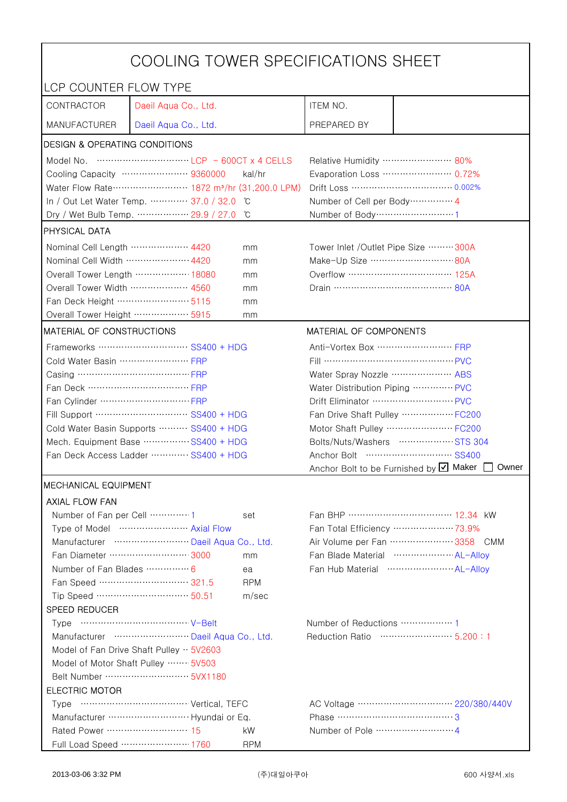| COOLING TOWER SPECIFICATIONS SHEET                                                                                                    |                                    |                                   |                                                |                                                 |  |
|---------------------------------------------------------------------------------------------------------------------------------------|------------------------------------|-----------------------------------|------------------------------------------------|-------------------------------------------------|--|
| LCP COUNTER FLOW TYPE                                                                                                                 |                                    |                                   |                                                |                                                 |  |
| CONTRACTOR                                                                                                                            | Daeil Aqua Co., Ltd.               |                                   | ITEM NO.                                       |                                                 |  |
| <b>MANUFACTURER</b>                                                                                                                   | Daeil Aqua Co., Ltd.               |                                   | PREPARED BY                                    |                                                 |  |
| DESIGN & OPERATING CONDITIONS                                                                                                         |                                    |                                   |                                                |                                                 |  |
| Model No. $\cdots$ $\cdots$ $\cdots$ $\cdots$ $\cdots$ $\cdots$ $\cdots$ $\cdots$ $\cdots$ $\cdots$ $\cdots$ $\cdots$ 600CT x 4 CELLS |                                    |                                   | Relative Humidity …………………… 80%                 |                                                 |  |
|                                                                                                                                       | Cooling Capacity ………………… 9360000   | kal/hr                            |                                                | Evaporation Loss ………………… 0.72%                  |  |
| Water Flow Rate ························ 1872 m <sup>3</sup> /hr (31,200.0 LPM)                                                       |                                    |                                   | Drift Loss …………………………… 0.002%                  |                                                 |  |
| In / Out Let Water Temp.  37.0 / 32.0<br>C                                                                                            |                                    |                                   | Number of Cell per Body ··············· 4      |                                                 |  |
|                                                                                                                                       | Dry / Wet Bulb Temp.  29.9 / 27.0  | °C                                | Number of Body ······························1 |                                                 |  |
| <b>PHYSICAL DATA</b>                                                                                                                  |                                    |                                   |                                                |                                                 |  |
| Nominal Cell Length ……………… 4420<br>mm                                                                                                 |                                    |                                   | Tower Inlet / Outlet Pipe Size  300A           |                                                 |  |
| Nominal Cell Width  4420                                                                                                              |                                    | mm                                | Make-Up Size ……………………… 80A                     |                                                 |  |
|                                                                                                                                       | Overall Tower Length ……………… 18080  | mm                                | Overflow …………………………… 125A                      |                                                 |  |
| Overall Tower Width  4560                                                                                                             |                                    | mm                                |                                                |                                                 |  |
| Fan Deck Height …………………… 5115                                                                                                         |                                    | mm                                |                                                |                                                 |  |
| Overall Tower Height ……………… 5915                                                                                                      |                                    | mm                                |                                                |                                                 |  |
| <b>MATERIAL OF CONSTRUCTIONS</b>                                                                                                      |                                    |                                   | MATERIAL OF COMPONENTS                         |                                                 |  |
|                                                                                                                                       | Frameworks ……………………… SS400 + HDG   |                                   | Anti-Vortex Box ……………………… FRP                  |                                                 |  |
| Cold Water Basin  FRP                                                                                                                 |                                    |                                   | Fill …………………………………… PVC                        |                                                 |  |
| Casing ………………………………… FRP                                                                                                              |                                    |                                   | Water Spray Nozzle ………………… ABS                 |                                                 |  |
| Fan Deck …………………………… FRP                                                                                                              |                                    |                                   | Water Distribution Piping  PVC                 |                                                 |  |
|                                                                                                                                       |                                    |                                   | Drift Eliminator ……………………… PVC                 |                                                 |  |
| Fill Support ………………………… SS400 + HDG                                                                                                   |                                    |                                   | Fan Drive Shaft Pulley  FC200                  |                                                 |  |
| Cold Water Basin Supports  SS400 + HDG                                                                                                |                                    |                                   | Motor Shaft Pulley  FC200                      |                                                 |  |
| Mech. Equipment Base SS400 + HDG                                                                                                      |                                    | Bolts/Nuts/Washers  STS 304       |                                                |                                                 |  |
| Fan Deck Access Ladder  SS400 + HDG                                                                                                   |                                    |                                   |                                                |                                                 |  |
|                                                                                                                                       |                                    |                                   |                                                | Anchor Bolt to be Furnished by Ø Maker<br>Owner |  |
| <b>MECHANICAL EQUIPMENT</b><br><b>AXIAL FLOW FAN</b>                                                                                  |                                    |                                   |                                                |                                                 |  |
| Number of Fan per Cell 1                                                                                                              |                                    | set                               |                                                | Fan BHP …………………………… 12.34 kW                    |  |
|                                                                                                                                       | Type of Model  Axial Flow          |                                   |                                                | Fan Total Efficiency  73.9%                     |  |
|                                                                                                                                       | Manufacturer  Daeil Aqua Co., Ltd. |                                   |                                                | Air Volume per Fan  3358 CMM                    |  |
|                                                                                                                                       | Fan Diameter ……………………… 3000        | mm                                |                                                | Fan Blade Material  AL-Allov                    |  |
| Number of Fan Blades  6                                                                                                               |                                    | ea                                |                                                | Fan Hub Material  AL-Allov                      |  |
|                                                                                                                                       | Fan Speed ………………………… 321.5         | <b>RPM</b>                        |                                                |                                                 |  |
|                                                                                                                                       | Tip Speed ………………………… 50.51         | m/sec                             |                                                |                                                 |  |
| SPEED REDUCER                                                                                                                         |                                    |                                   |                                                |                                                 |  |
|                                                                                                                                       |                                    |                                   | Number of Reductions ················· 1       |                                                 |  |
| Manufacturer  Daeil Aqua Co., Ltd.                                                                                                    |                                    | Reduction Ratio ……………………… 5.200:1 |                                                |                                                 |  |
| Model of Fan Drive Shaft Pulley $\cdot \cdot$ 5V2603                                                                                  |                                    |                                   |                                                |                                                 |  |
| Model of Motor Shaft Pulley  5V503                                                                                                    |                                    |                                   |                                                |                                                 |  |
|                                                                                                                                       |                                    |                                   |                                                |                                                 |  |
| <b>ELECTRIC MOTOR</b>                                                                                                                 |                                    |                                   |                                                |                                                 |  |
|                                                                                                                                       |                                    |                                   |                                                |                                                 |  |
|                                                                                                                                       | Manufacturer  Hyundai or Eq.       |                                   | Phase ……………………………………3                          |                                                 |  |
| Rated Power ………………………… 15                                                                                                             |                                    | kW                                |                                                |                                                 |  |
|                                                                                                                                       | Full Load Speed ………………… 1760       | <b>RPM</b>                        |                                                |                                                 |  |